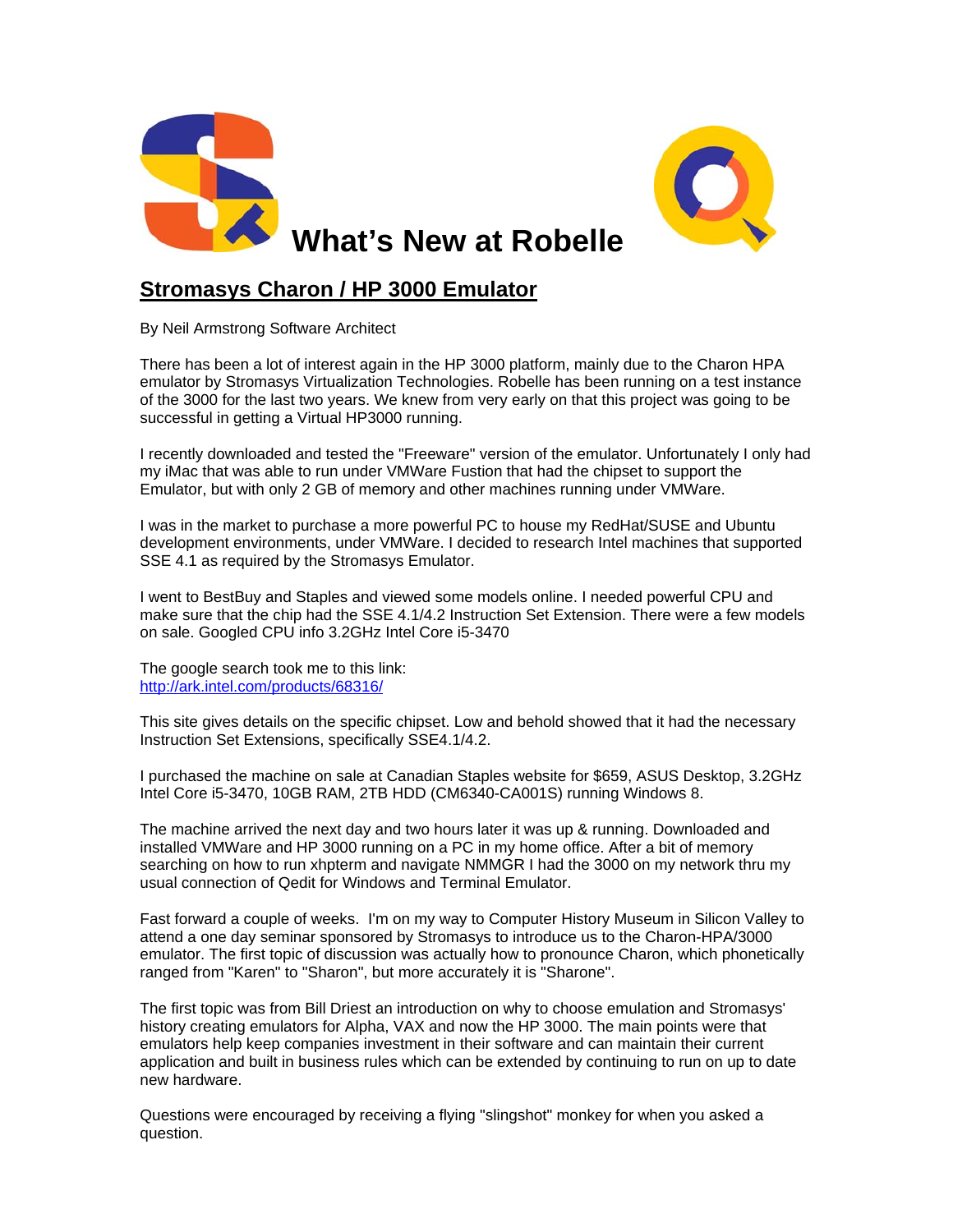

## **Stromasys Charon / HP 3000 Emulator**

By Neil Armstrong Software Architect

There has been a lot of interest again in the HP 3000 platform, mainly due to the Charon HPA emulator by Stromasys Virtualization Technologies. Robelle has been running on a test instance of the 3000 for the last two years. We knew from very early on that this project was going to be successful in getting a Virtual HP3000 running.

I recently downloaded and tested the "Freeware" version of the emulator. Unfortunately I only had my iMac that was able to run under VMWare Fustion that had the chipset to support the Emulator, but with only 2 GB of memory and other machines running under VMWare.

I was in the market to purchase a more powerful PC to house my RedHat/SUSE and Ubuntu development environments, under VMWare. I decided to research Intel machines that supported SSE 4.1 as required by the Stromasys Emulator.

I went to BestBuy and Staples and viewed some models online. I needed powerful CPU and make sure that the chip had the SSE 4.1/4.2 Instruction Set Extension. There were a few models on sale. Googled CPU info 3.2GHz Intel Core i5-3470

The google search took me to this link: <http://ark.intel.com/products/68316/>

This site gives details on the specific chipset. Low and behold showed that it had the necessary Instruction Set Extensions, specifically SSE4.1/4.2.

I purchased the machine on sale at Canadian Staples website for \$659, ASUS Desktop, 3.2GHz Intel Core i5-3470, 10GB RAM, 2TB HDD (CM6340-CA001S) running Windows 8.

The machine arrived the next day and two hours later it was up & running. Downloaded and installed VMWare and HP 3000 running on a PC in my home office. After a bit of memory searching on how to run xhpterm and navigate NMMGR I had the 3000 on my network thru my usual connection of Qedit for Windows and Terminal Emulator.

Fast forward a couple of weeks. I'm on my way to Computer History Museum in Silicon Valley to attend a one day seminar sponsored by Stromasys to introduce us to the Charon-HPA/3000 emulator. The first topic of discussion was actually how to pronounce Charon, which phonetically ranged from "Karen" to "Sharon", but more accurately it is "Sharone".

The first topic was from Bill Driest an introduction on why to choose emulation and Stromasys' history creating emulators for Alpha, VAX and now the HP 3000. The main points were that emulators help keep companies investment in their software and can maintain their current application and built in business rules which can be extended by continuing to run on up to date new hardware.

Questions were encouraged by receiving a flying "slingshot" monkey for when you asked a question.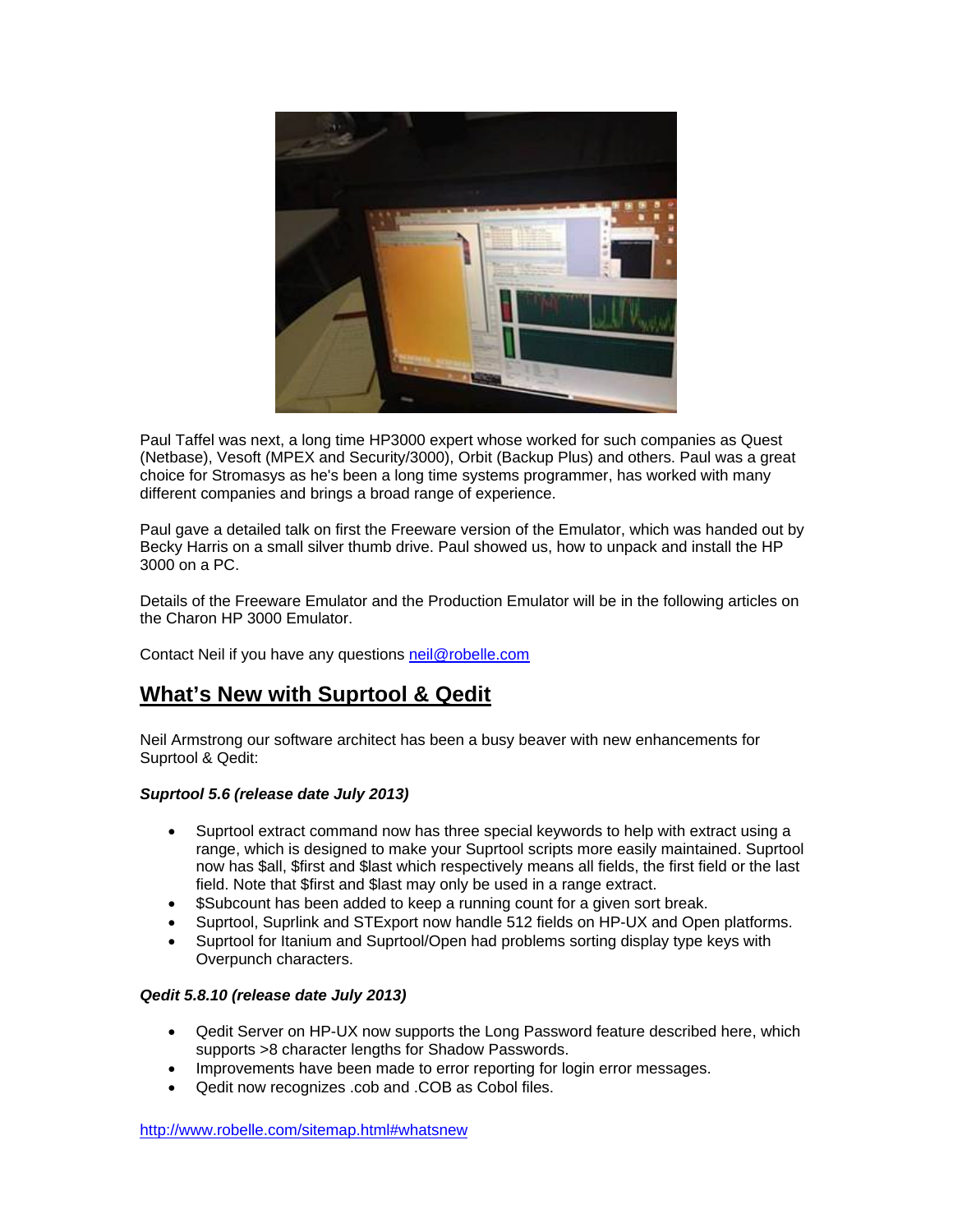

Paul Taffel was next, a long time HP3000 expert whose worked for such companies as Quest (Netbase), Vesoft (MPEX and Security/3000), Orbit (Backup Plus) and others. Paul was a great choice for Stromasys as he's been a long time systems programmer, has worked with many different companies and brings a broad range of experience.

Paul gave a detailed talk on first the Freeware version of the Emulator, which was handed out by Becky Harris on a small silver thumb drive. Paul showed us, how to unpack and install the HP 3000 on a PC.

Details of the Freeware Emulator and the Production Emulator will be in the following articles on the Charon HP 3000 Emulator.

Contact Neil if you have any questions [neil@robelle.com](mailto:neil@robelle.com)

## **What's New with Suprtool & Qedit**

Neil Armstrong our software architect has been a busy beaver with new enhancements for Suprtool & Qedit:

#### *Suprtool 5.6 (release date July 2013)*

- Suprtool extract command now has three special keywords to help with extract using a range, which is designed to make your Suprtool scripts more easily maintained. Suprtool now has \$all, \$first and \$last which respectively means all fields, the first field or the last field. Note that \$first and \$last may only be used in a range extract.
- \$Subcount has been added to keep a running count for a given sort break.
- Suprtool, Suprlink and STExport now handle 512 fields on HP-UX and Open platforms.
- Suprtool for Itanium and Suprtool/Open had problems sorting display type keys with Overpunch characters.

#### *Qedit 5.8.10 (release date July 2013)*

- Qedit Server on HP-UX now supports the Long Password feature described here, which supports >8 character lengths for Shadow Passwords.
- Improvements have been made to error reporting for login error messages.
- Qedit now recognizes .cob and .COB as Cobol files.

<http://www.robelle.com/sitemap.html#whatsnew>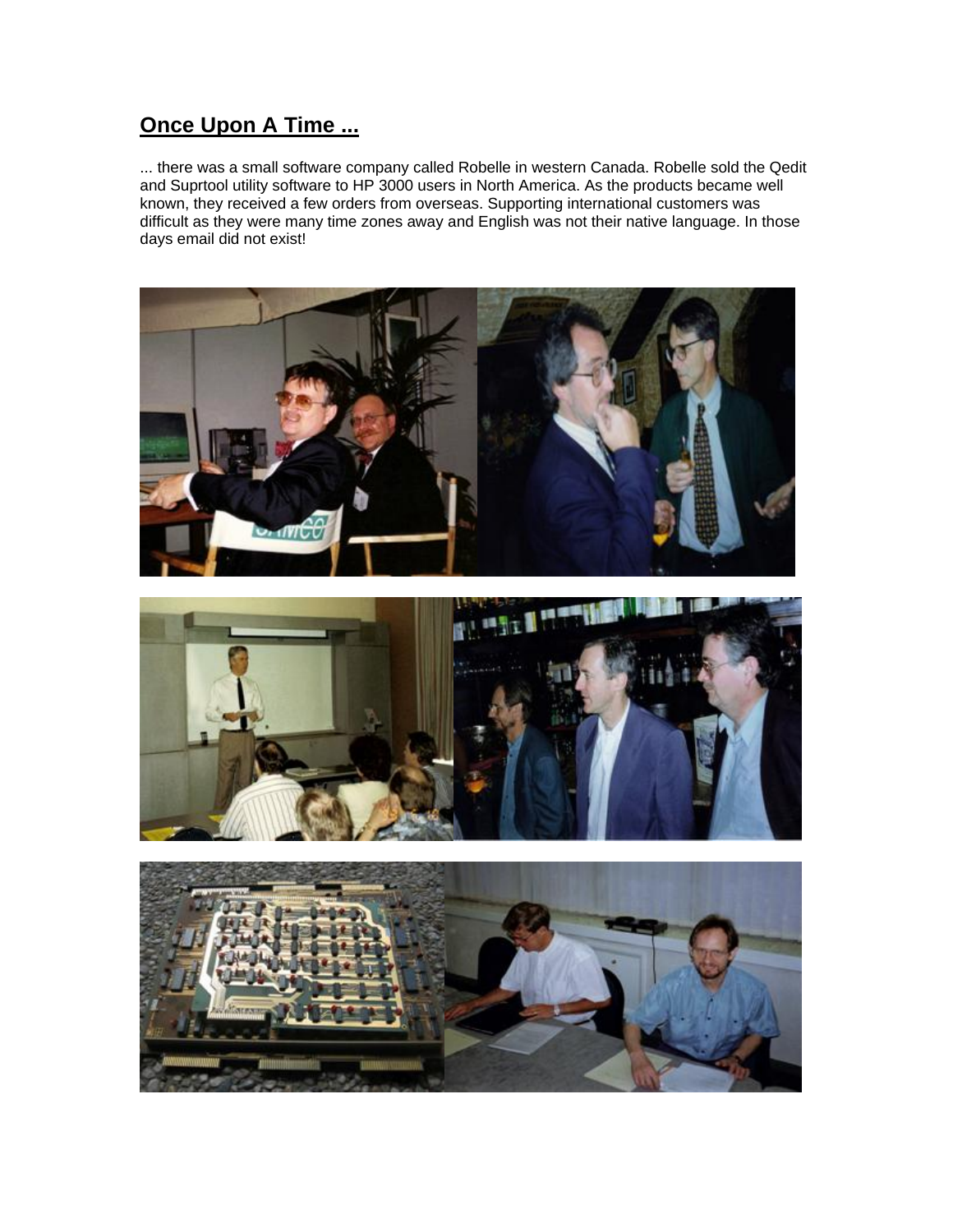# **Once Upon A Time ...**

... there was a small software company called Robelle in western Canada. Robelle sold the Qedit and Suprtool utility software to HP 3000 users in North America. As the products became well known, they received a few orders from overseas. Supporting international customers was difficult as they were many time zones away and English was not their native language. In those days email did not exist!





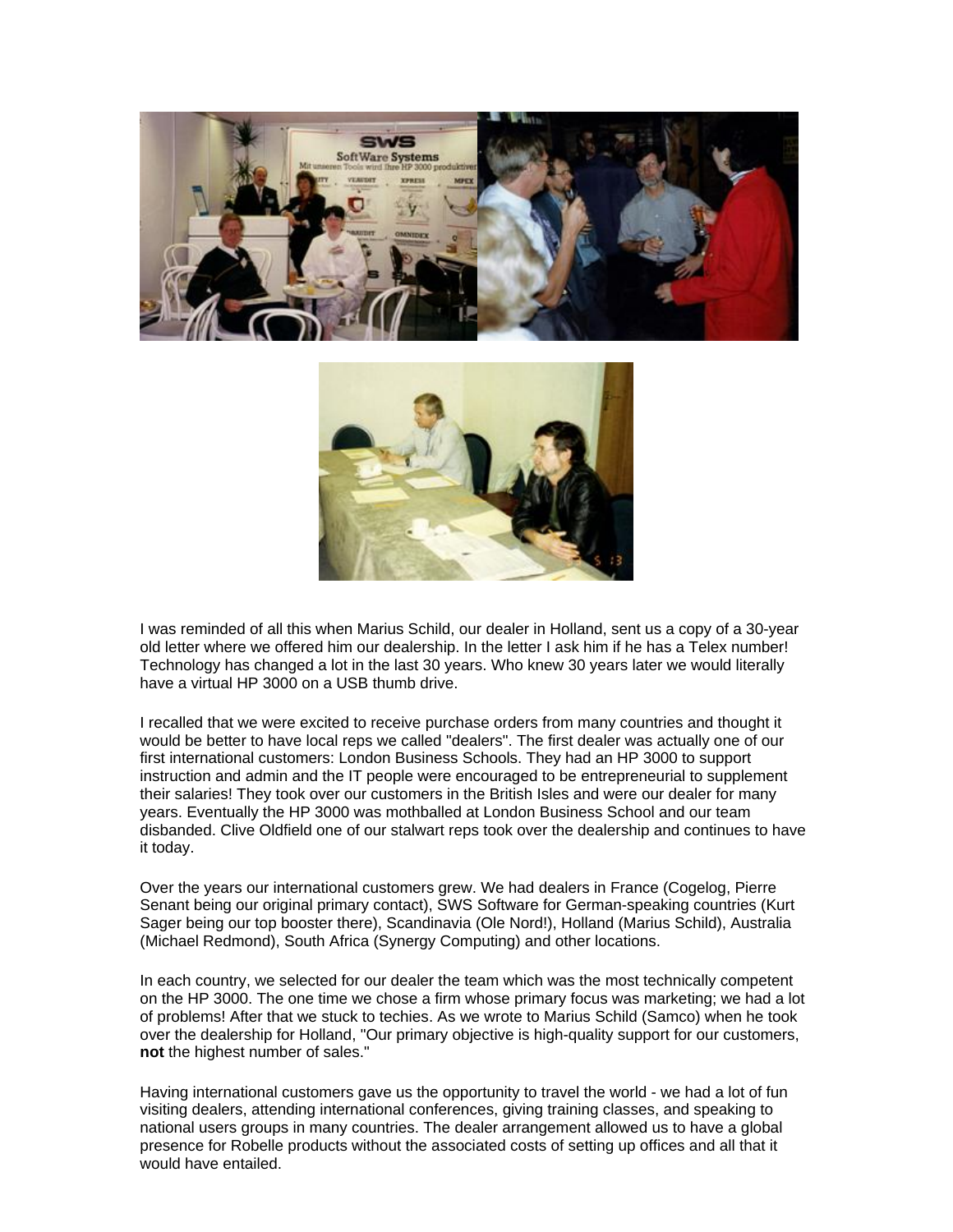



I was reminded of all this when Marius Schild, our dealer in Holland, sent us a copy of a 30-year old letter where we offered him our dealership. In the letter I ask him if he has a Telex number! Technology has changed a lot in the last 30 years. Who knew 30 years later we would literally have a virtual HP 3000 on a USB thumb drive.

I recalled that we were excited to receive purchase orders from many countries and thought it would be better to have local reps we called "dealers". The first dealer was actually one of our first international customers: London Business Schools. They had an HP 3000 to support instruction and admin and the IT people were encouraged to be entrepreneurial to supplement their salaries! They took over our customers in the British Isles and were our dealer for many years. Eventually the HP 3000 was mothballed at London Business School and our team disbanded. Clive Oldfield one of our stalwart reps took over the dealership and continues to have it today.

Over the years our international customers grew. We had dealers in France (Cogelog, Pierre Senant being our original primary contact), SWS Software for German-speaking countries (Kurt Sager being our top booster there), Scandinavia (Ole Nord!), Holland (Marius Schild), Australia (Michael Redmond), South Africa (Synergy Computing) and other locations.

In each country, we selected for our dealer the team which was the most technically competent on the HP 3000. The one time we chose a firm whose primary focus was marketing; we had a lot of problems! After that we stuck to techies. As we wrote to Marius Schild (Samco) when he took over the dealership for Holland, "Our primary objective is high-quality support for our customers, **not** the highest number of sales."

Having international customers gave us the opportunity to travel the world - we had a lot of fun visiting dealers, attending international conferences, giving training classes, and speaking to national users groups in many countries. The dealer arrangement allowed us to have a global presence for Robelle products without the associated costs of setting up offices and all that it would have entailed.